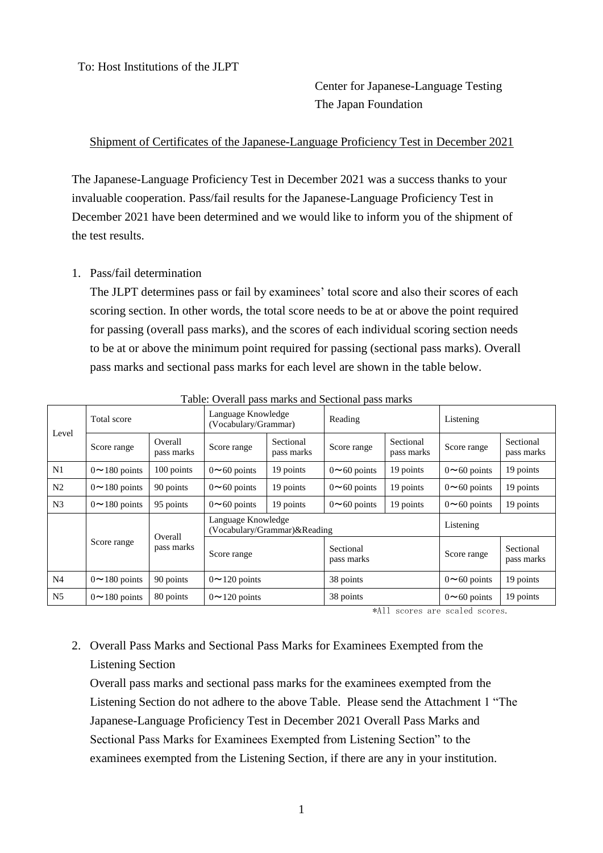To: Host Institutions of the JLPT

## Center for Japanese-Language Testing The Japan Foundation

## Shipment of Certificates of the Japanese-Language Proficiency Test in December 2021

The Japanese-Language Proficiency Test in December 2021 was a success thanks to your invaluable cooperation. Pass/fail results for the Japanese-Language Proficiency Test in December 2021 have been determined and we would like to inform you of the shipment of the test results.

## 1. Pass/fail determination

The JLPT determines pass or fail by examinees' total score and also their scores of each scoring section. In other words, the total score needs to be at or above the point required for passing (overall pass marks), and the scores of each individual scoring section needs to be at or above the minimum point required for passing (sectional pass marks). Overall pass marks and sectional pass marks for each level are shown in the table below.

| Level          | Total score         |                       | Language Knowledge<br>(Vocabulary/Grammar)         |                         | Reading                 |                         | Listening          |                         |
|----------------|---------------------|-----------------------|----------------------------------------------------|-------------------------|-------------------------|-------------------------|--------------------|-------------------------|
|                | Score range         | Overall<br>pass marks | Score range                                        | Sectional<br>pass marks | Score range             | Sectional<br>pass marks | Score range        | Sectional<br>pass marks |
| N1             | $0 \sim 180$ points | 100 points            | $0 \sim 60$ points                                 | 19 points               | $0 \sim 60$ points      | 19 points               | $0 \sim 60$ points | 19 points               |
| N <sub>2</sub> | $0 \sim 180$ points | 90 points             | $0 \sim 60$ points                                 | 19 points               | $0 \sim 60$ points      | 19 points               | $0 \sim 60$ points | 19 points               |
| N <sub>3</sub> | $0 \sim 180$ points | 95 points             | $0 \sim 60$ points                                 | 19 points               | $0 \sim 60$ points      | 19 points               | $0 \sim 60$ points | 19 points               |
|                | Score range         | Overall<br>pass marks | Language Knowledge<br>(Vocabulary/Grammar)&Reading |                         |                         | Listening               |                    |                         |
|                |                     |                       | Score range                                        |                         | Sectional<br>pass marks |                         | Score range        | Sectional<br>pass marks |
| N <sub>4</sub> | $0 \sim 180$ points | 90 points             | $0 \sim 120$ points                                |                         | 38 points               |                         | $0 \sim 60$ points | 19 points               |
| N <sub>5</sub> | $0 \sim 180$ points | 80 points             | $0 \sim 120$ points                                |                         | 38 points               |                         | $0 \sim 60$ points | 19 points               |

Table: Overall pass marks and Sectional pass marks

\*All scores are scaled scores.

## 2. Overall Pass Marks and Sectional Pass Marks for Examinees Exempted from the Listening Section

Overall pass marks and sectional pass marks for the examinees exempted from the Listening Section do not adhere to the above Table. Please send the Attachment 1 "The Japanese-Language Proficiency Test in December 2021 Overall Pass Marks and Sectional Pass Marks for Examinees Exempted from Listening Section" to the examinees exempted from the Listening Section, if there are any in your institution.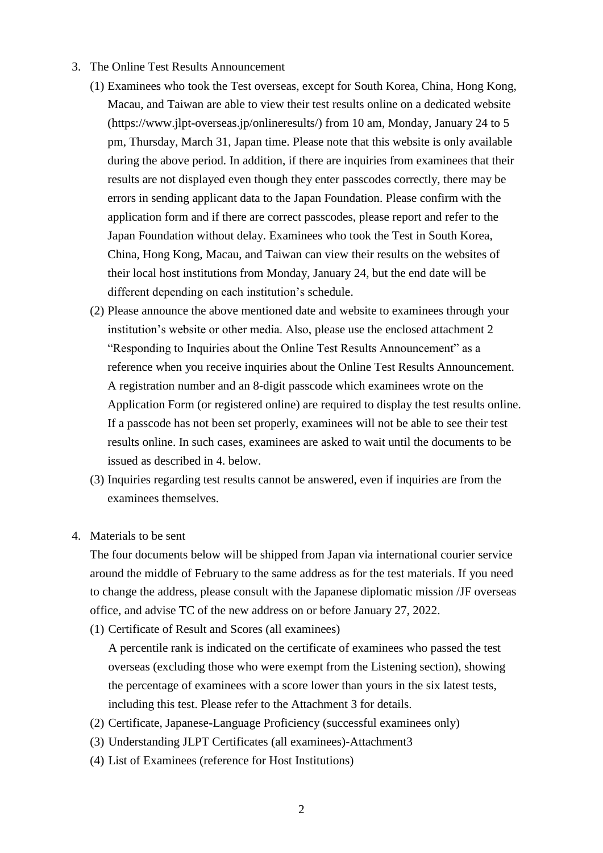- 3. The Online Test Results Announcement
	- (1) Examinees who took the Test overseas, except for South Korea, China, Hong Kong, Macau, and Taiwan are able to view their test results online on a dedicated website (https://www.jlpt-overseas.jp/onlineresults/) from 10 am, Monday, January 24 to 5 pm, Thursday, March 31, Japan time. Please note that this website is only available during the above period. In addition, if there are inquiries from examinees that their results are not displayed even though they enter passcodes correctly, there may be errors in sending applicant data to the Japan Foundation. Please confirm with the application form and if there are correct passcodes, please report and refer to the Japan Foundation without delay. Examinees who took the Test in South Korea, China, Hong Kong, Macau, and Taiwan can view their results on the websites of their local host institutions from Monday, January 24, but the end date will be different depending on each institution's schedule.
	- (2) Please announce the above mentioned date and website to examinees through your institution's website or other media. Also, please use the enclosed attachment 2 "Responding to Inquiries about the Online Test Results Announcement" as a reference when you receive inquiries about the Online Test Results Announcement. A registration number and an 8-digit passcode which examinees wrote on the Application Form (or registered online) are required to display the test results online. If a passcode has not been set properly, examinees will not be able to see their test results online. In such cases, examinees are asked to wait until the documents to be issued as described in 4. below.
	- (3) Inquiries regarding test results cannot be answered, even if inquiries are from the examinees themselves.
- 4. Materials to be sent

The four documents below will be shipped from Japan via international courier service around the middle of February to the same address as for the test materials. If you need to change the address, please consult with the Japanese diplomatic mission /JF overseas office, and advise TC of the new address on or before January 27, 2022.

(1) Certificate of Result and Scores (all examinees)

A percentile rank is indicated on the certificate of examinees who passed the test overseas (excluding those who were exempt from the Listening section), showing the percentage of examinees with a score lower than yours in the six latest tests, including this test. Please refer to the Attachment 3 for details.

- (2) Certificate, Japanese-Language Proficiency (successful examinees only)
- (3) Understanding JLPT Certificates (all examinees)-Attachment3
- (4) List of Examinees (reference for Host Institutions)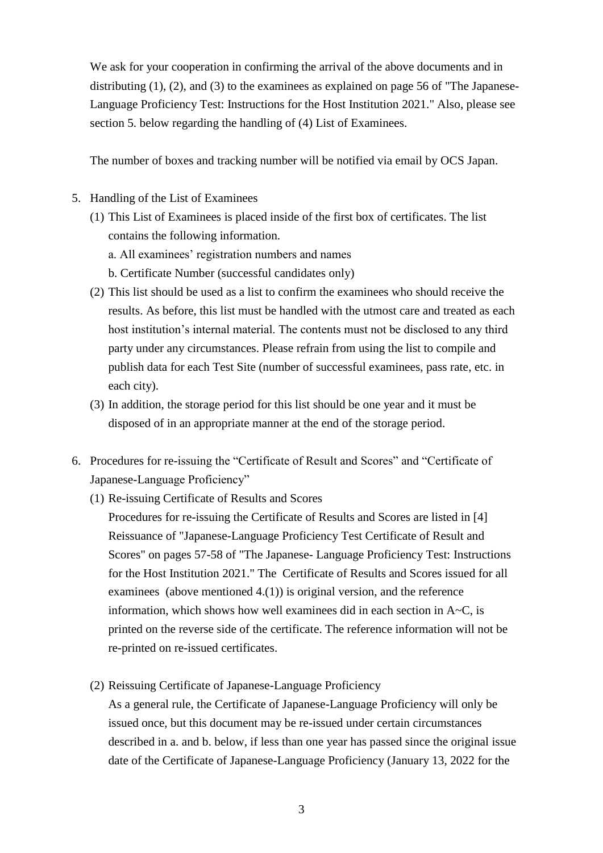We ask for your cooperation in confirming the arrival of the above documents and in distributing (1), (2), and (3) to the examinees as explained on page 56 of "The Japanese-Language Proficiency Test: Instructions for the Host Institution 2021." Also, please see section 5. below regarding the handling of (4) List of Examinees.

The number of boxes and tracking number will be notified via email by OCS Japan.

- 5. Handling of the List of Examinees
	- (1) This List of Examinees is placed inside of the first box of certificates. The list contains the following information.
		- a. All examinees' registration numbers and names
		- b. Certificate Number (successful candidates only)
	- (2) This list should be used as a list to confirm the examinees who should receive the results. As before, this list must be handled with the utmost care and treated as each host institution's internal material. The contents must not be disclosed to any third party under any circumstances. Please refrain from using the list to compile and publish data for each Test Site (number of successful examinees, pass rate, etc. in each city).
	- (3) In addition, the storage period for this list should be one year and it must be disposed of in an appropriate manner at the end of the storage period.
- 6. Procedures for re-issuing the "Certificate of Result and Scores" and "Certificate of Japanese-Language Proficiency"
	- (1) Re-issuing Certificate of Results and Scores

Procedures for re-issuing the Certificate of Results and Scores are listed in [4] Reissuance of "Japanese-Language Proficiency Test Certificate of Result and Scores" on pages 57-58 of "The Japanese- Language Proficiency Test: Instructions for the Host Institution 2021." The Certificate of Results and Scores issued for all examinees (above mentioned 4.(1)) is original version, and the reference information, which shows how well examinees did in each section in A~C, is printed on the reverse side of the certificate. The reference information will not be re-printed on re-issued certificates.

(2) Reissuing Certificate of Japanese-Language Proficiency

As a general rule, the Certificate of Japanese-Language Proficiency will only be issued once, but this document may be re-issued under certain circumstances described in a. and b. below, if less than one year has passed since the original issue date of the Certificate of Japanese-Language Proficiency (January 13, 2022 for the